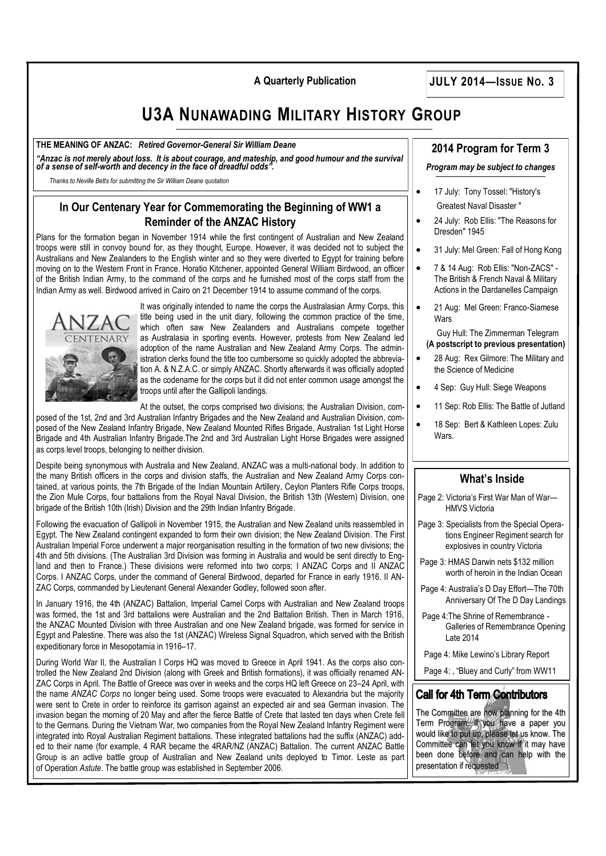**A Quarterly Publication JULY 2014—ISSUE NO. 3**

# **U3A NUNAWADING MILITARY HISTORY GROUP**

#### **THE MEANING OF ANZAC:** *Retired Governor-General Sir William Deane*

*"Anzac is not merely about loss. It is about courage, and mateship, and good humour and the survival of a sense of self-worth and decency in the face of dreadful odds".*

*Thanks to Neville Betts for submitting the Sir William Deane quotation*

### **In Our Centenary Year for Commemorating the Beginning of WW1 a Reminder of the ANZAC History**

Plans for the formation began in November 1914 while the first contingent of Australian and New Zealand troops were still in convoy bound for, as they thought, Europe. However, it was decided not to subject the Australians and New Zealanders to the English winter and so they were diverted to Egypt for training before moving on to the [Western Front](http://en.wikipedia.org/wiki/Western_Front_(World_War_I)) in France. [Horatio Kitchener,](http://en.wikipedia.org/wiki/Horatio_Kitchener,_1st_Earl_Kitchener_of_Khartoum) appointed General [William Birdwood,](http://en.wikipedia.org/wiki/William_Birdwood) an officer of the [British Indian Army,](http://en.wikipedia.org/wiki/British_Indian_Army) to the command of the corps and he furnished most of the corps staff from the Indian Army as well. Birdwood arrived in [Cairo](http://en.wikipedia.org/wiki/Cairo) on 21 December 1914 to assume command of the corps.



It was originally intended to name the corps the Australasian Army Corps, this title being used in the unit diary, following the common practice of the time, which often saw New Zealanders and Australians compete together as [Australasia](http://en.wikipedia.org/wiki/Australasia) in sporting events. However, protests from New Zealand led adoption of the name Australian and New Zealand Army Corps. The administration clerks found the title too cumbersome so quickly adopted the abbreviation A. & N.Z.A.C. or simply ANZAC. Shortly afterwards it was officially adopted as the codename for the corps but it did not enter common usage amongst the troops until after the Gallipoli landings.

At the outset, the corps comprised two divisions; the [Australian Division,](http://en.wikipedia.org/wiki/1st_Division_(Australia)) com-

posed of the 1st, 2nd and 3rd Australian Infantry Brigades and the [New Zealand and Australian Division,](http://en.wikipedia.org/wiki/New_Zealand_and_Australian_Division) composed of the [New Zealand Infantry Brigade,](http://en.wikipedia.org/wiki/New_Zealand_Infantry_Brigade) [New Zealand Mounted Rifles Brigade,](http://en.wikipedia.org/wiki/New_Zealand_Mounted_Rifles_Brigade) [Australian 1st Light Horse](http://en.wikipedia.org/wiki/1st_Light_Horse_Brigade)  [Brigade](http://en.wikipedia.org/wiki/1st_Light_Horse_Brigade) and [4th Australian Infantry Brigade.](http://en.wikipedia.org/wiki/4th_Brigade_(Australia))The 2nd and 3rd Australian Light Horse Brigades were assigned as corps level troops, belonging to neither division.

Despite being synonymous with Australia and New Zealand, ANZAC was a multi-national body. In addition to the many British officers in the corps and division staffs, the Australian and New Zealand Army Corps contained, at various points, the 7th Brigade of the [Indian Mountain Artillery,](http://en.wikipedia.org/w/index.php?title=Indian_Mountain_Artillery&action=edit&redlink=1) [Ceylon Planters Rifle Corps](http://en.wikipedia.org/wiki/Ceylon_Planters_Rifle_Corps) troops, the [Zion Mule Corps,](http://en.wikipedia.org/wiki/Zion_Mule_Corps) four battalions from the [Royal Naval Division,](http://en.wikipedia.org/wiki/Royal_Naval_Division) the [British 13th \(Western\) Division,](http://en.wikipedia.org/wiki/British_13th_(Western)_Division) one brigade of the [British 10th \(Irish\) Division](http://en.wikipedia.org/wiki/British_10th_(Irish)_Division) and the [29th Indian Infantry Brigade.](http://en.wikipedia.org/wiki/29th_Indian_Infantry_Brigade)

Following the evacuation of [Gallipoli](http://en.wikipedia.org/wiki/Gallipoli_Campaign) in November 1915, the Australian and New Zealand units reassembled in Egypt. The New Zealand contingent expanded to form their own [division;](http://en.wikipedia.org/wiki/Division_(military)) the [New Zealand Division.](http://en.wikipedia.org/wiki/New_Zealand_Division) The [First](http://en.wikipedia.org/wiki/First_Australian_Imperial_Force)  [Australian Imperial Force](http://en.wikipedia.org/wiki/First_Australian_Imperial_Force) underwent a major reorganisation resulting in the formation of two new divisions; the [4th](http://en.wikipedia.org/wiki/Australian_4th_Division) and [5th](http://en.wikipedia.org/wiki/Australian_5th_Division) divisions. (The [Australian 3rd Division](http://en.wikipedia.org/wiki/Australian_3rd_Division) was forming in Australia and would be sent directly to England and then to France.) These divisions were reformed into two corps; [I ANZAC Corps](http://en.wikipedia.org/wiki/I_ANZAC_Corps) and [II ANZAC](http://en.wikipedia.org/wiki/II_ANZAC_Corps)  [Corps.](http://en.wikipedia.org/wiki/II_ANZAC_Corps) I ANZAC Corps, under the command of General Birdwood, departed for France in early 1916. II AN-ZAC Corps, commanded by Lieutenant General [Alexander Godley,](http://en.wikipedia.org/wiki/Alexander_Godley) followed soon after.

In January 1916, the 4th (ANZAC) Battalion, [Imperial Camel Corps](http://en.wikipedia.org/wiki/Imperial_Camel_Corps) with Australian and New Zealand troops was formed, the 1st and 3rd battalions were Australian and the 2nd Battalion British. Then in March 1916, the [ANZAC Mounted Division](http://en.wikipedia.org/wiki/ANZAC_Mounted_Division) with three Australian and one New Zealand brigade, was formed for service in Egypt and Palestine. There was also the [1st \(ANZAC\) Wireless Signal Squadron,](http://en.wikipedia.org/wiki/1st_Australian_Wireless_Signal_Squadron) which served with the British expeditionary force in [Mesopotamia](http://en.wikipedia.org/wiki/Mesopotamia) in 1916–17.

During World War II, the Australian [I Corps](http://en.wikipedia.org/wiki/I_Corps_(Australia)) HQ was moved to [Greece](http://en.wikipedia.org/wiki/Greece) in April 1941. As the corps also controlled the [New Zealand 2nd Division](http://en.wikipedia.org/wiki/New_Zealand_2nd_Division) (along with Greek and British formations), it was officially renamed AN-ZAC Corps in April. The [Battle of Greece](http://en.wikipedia.org/wiki/Battle_of_Greece) was over in weeks and the corps HQ left Greece on 23–24 April, with the name *ANZAC Corps* no longer being used. Some troops were evacuated to Alexandria but the majority were sent to [Crete](http://en.wikipedia.org/wiki/Crete) in order to reinforce its garrison against an expected air and sea German invasion. The invasion began the morning of 20 May and after the fierce [Battle of Crete](http://en.wikipedia.org/wiki/Battle_of_Crete) that lasted ten days when Crete fell to the Germans. During the [Vietnam War,](http://en.wikipedia.org/wiki/Vietnam_War) two companies from the [Royal New Zealand Infantry Regiment](http://en.wikipedia.org/wiki/Royal_New_Zealand_Infantry_Regiment) were integrated into [Royal Australian Regiment](http://en.wikipedia.org/wiki/Royal_Australian_Regiment) battalions. These integrated battalions had the suffix (ANZAC) added to their name (for example, 4 RAR became the 4RAR/NZ (ANZAC) Battalion. The current ANZAC Battle [Group](http://en.wikipedia.org/wiki/ANZAC_Battle_Group) is an active [battle group](http://en.wikipedia.org/wiki/Battlegroup_(army)) of Australian and New Zealand units deployed to [Timor. Leste](http://en.wikipedia.org/wiki/Timor_Leste) as part of [Operation](http://en.wikipedia.org/wiki/Operation_Astute) *Astute*. The battle group was established in September 2006.

#### **2014 Program for Term 3**

#### *Program may be subject to changes*

- 17 July: Tony Tossel: "History's Greatest Naval Disaster "
- 24 July: Rob Ellis: "The Reasons for Dresden" 1945
- 31 July: Mel Green: Fall of Hong Kong
- 7 & 14 Aug: Rob Ellis: "Non-ZACS" The British & French Naval & Military Actions in the Dardanelles Campaign
- 21 Aug: Mel Green: Franco-Siamese Wars

 Guy Hull: The Zimmerman Telegram  **(A postscript to previous presentation)**

- 28 Aug: Rex Gilmore: The Military and the Science of Medicine
- 4 Sep: Guy Hull: Siege Weapons
- 11 Sep: Rob Ellis: The Battle of Jutland
- 18 Sep: Bert & Kathleen Lopes: Zulu **Wars**.

#### **What's Inside**

- Page 2: Victoria's First War Man of War— HMVS Victoria
- Page 3: Specialists from the Special Operations Engineer Regiment search for explosives in country Victoria
- Page 3: HMAS Darwin nets \$132 million worth of heroin in the Indian Ocean
- Page 4: Australia's D Day Effort—The 70th Anniversary Of The D Day Landings
- Page 4:The Shrine of Remembrance Galleries of Remembrance Opening Late 2014

Page 4: Mike Lewino's Library Report

Page 4: , "Bluey and Curly" from WW11

### **Call for 4th Term Contributors**

The Committee are now planning for the 4th Term Program. If you have a paper you would like to put up, please let us know. The Committee can let you know if it may have been done before and can help with the presentation if requested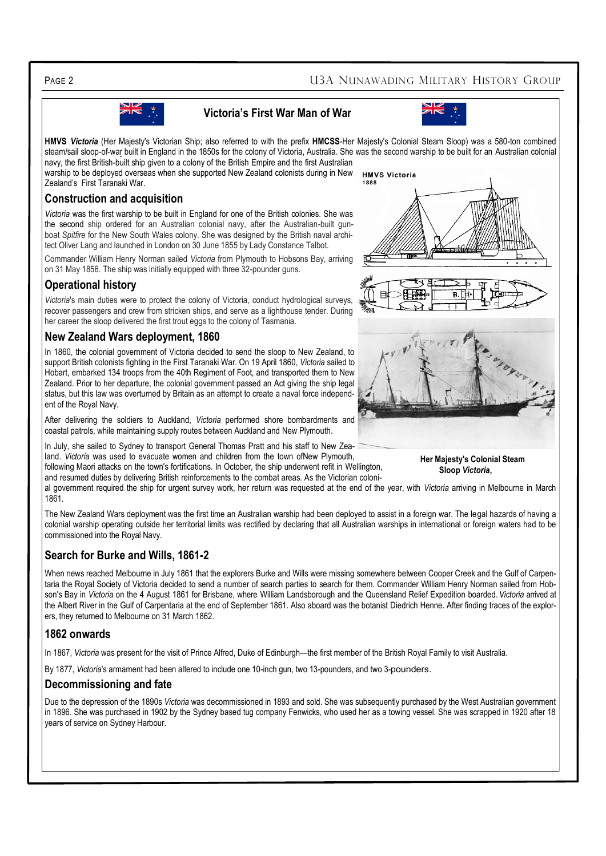PAGE 2 **PAGE 2** U3A NUNAWADING MILITARY HISTORY GROUP

## **Victoria's First War Man of War**



**HMVS** *Victoria* (Her Majesty's Victorian Ship; also referred to with the prefix **HMCSS**-Her Majesty's Colonial Steam Sloop) was a 580-ton combined steam/sail [sloop-of-war](http://en.wikipedia.org/wiki/Sloop-of-war) built in England in the 1850s for the colony of Victoria, Australia. She was the second warship to be built for an Australian colonial [navy,](http://en.wikipedia.org/wiki/Australian_colonial_navy) the first British-built ship given to a colony of the British Empire and the first Australian warship to be deployed overseas when she supported New Zealand colonists during in New **HMVS Victoria** Zealand's First Taranaki War. 1888

#### **Construction and acquisition**

*Victoria* was the first warship to be built in England for one of the British colonies. She was the second ship ordered for an Australian colonial navy, after the Australian-built gunboat *Spitfire* for the New South Wales colony. She was designed by the British naval architect Oliver Lang and launched in London on 30 June 1855 by Lady Constance Talbot.

Commander William Henry Norman sailed *Victoria* from Plymouth to Hobsons Bay, arriving on 31 May 1856. The ship was initially equipped with three 32-pounder guns.

#### **Operational history**

*Victoria*'s main duties were to protect the colony of Victoria, conduct hydrological surveys, recover passengers and crew from stricken ships, and serve as a lighthouse tender. During her career the sloop delivered the first trout eggs to the colony of Tasmania.

#### **New Zealand Wars deployment, 1860**

In 1860, the colonial government of Victoria decided to send the sloop to New Zealand, to support British colonists fighting in the First Taranaki War. On 19 April 1860, *Victoria* sailed to Hobart, embarked 134 troops from the [40th Regiment of Foot,](http://en.wikipedia.org/wiki/40th_Regiment_of_Foot) and transported them to New Zealand. Prior to her departure, the colonial government passed an Act giving the ship legal status, but this law was overturned by Britain as an attempt to create a naval force independent of the Royal Navy.

After delivering the soldiers to Auckland, *Victoria* performed [shore bombardments](http://en.wikipedia.org/wiki/Naval_gunfire_support) and coastal patrols, while maintaining supply routes between Auckland and New Plymouth.

In July, she sailed to Sydney to transport General Thomas Pratt and his staff to New Zealand. *Victoria* was used to evacuate women and children from the town of[New Plymouth,](http://en.wikipedia.org/wiki/New_Plymouth)  following Maori attacks on the town's fortifications. In October, the ship underwent refit in Wellington,

and resumed duties by delivering British reinforcements to the combat areas. As the Victorian coloni-

al government required the ship for urgent survey work, her return was requested at the end of the year, with *Victoria* arriving in Melbourne in March 1861.

The New Zealand Wars deployment was the first time an Australian warship had been deployed to assist in a foreign war. The legal hazards of having a colonial warship operating outside her territorial limits was rectified by declaring that all Australian warships in international or foreign waters had to be commissioned into the [Royal Navy.](http://en.wikipedia.org/wiki/Royal_Navy)

#### **Search for Burke and Wills, 1861-2**

When news reached [Melbourne](http://en.wikipedia.org/wiki/Melbourne) in July 1861 that the explorers [Burke](http://en.wikipedia.org/wiki/Robert_O%27Hara_Burke) and [Wills](http://en.wikipedia.org/wiki/William_John_Wills) were missing somewhere between [Cooper Creek](http://en.wikipedia.org/wiki/Cooper_Creek) and the [Gulf of Carpen](http://en.wikipedia.org/wiki/Gulf_of_Carpentaria)[taria](http://en.wikipedia.org/wiki/Gulf_of_Carpentaria) the [Royal Society of Victoria](http://en.wikipedia.org/wiki/Royal_Society_of_Victoria) decided to send a number of search parties to search for them. Commander William Henry Norman sailed from Hobson's Bay in *Victoria* on the 4 August 1861 for Brisbane, where [William Landsborough](http://en.wikipedia.org/wiki/William_Landsborough) and the [Queensland Relief Expedition](http://en.wikipedia.org/w/index.php?title=Queensland_Relief_Expedition&action=edit&redlink=1) boarded.*Victoria* arrived at the Albert River in the [Gulf of Carpentaria](http://en.wikipedia.org/wiki/Gulf_of_Carpentaria) at the end of September 1861. Also aboard was the botanist [Diedrich Henne.](http://en.wikipedia.org/wiki/Diedrich_Henne) After finding traces of the explorers, they returned to Melbourne on 31 March 1862.

#### **1862 onwards**

In 1867, *Victoria* was present for the visit of [Prince Alfred, Duke of Edinburgh](http://en.wikipedia.org/wiki/Prince_Alfred,_Duke_of_Edinburgh)—the first member of the [British Royal Family](http://en.wikipedia.org/wiki/British_Royal_Family) to visit Australia.

By 1877, *Victoria*'s armament had been altered to include one 10-inch gun, two 13-pounders, and two 3-pounders.

#### **Decommissioning and fate**

Due to the [depression](http://en.wikipedia.org/wiki/Depression_(economic)) of the 1890s *Victoria* was decommissioned in 1893 and sold. She was subsequently purchased by the West Australian government in 1896. She was purchased in 1902 by the [Sydney](http://en.wikipedia.org/wiki/Sydney) based tug company Fenwicks, who used her as a towing vessel. She was scrapped in 1920 after 18 years of service on [Sydney Harbour.](http://en.wikipedia.org/wiki/Sydney_Harbour)

 **Her Majesty's Colonial Steam Sloop** *Victoria***,** 



B.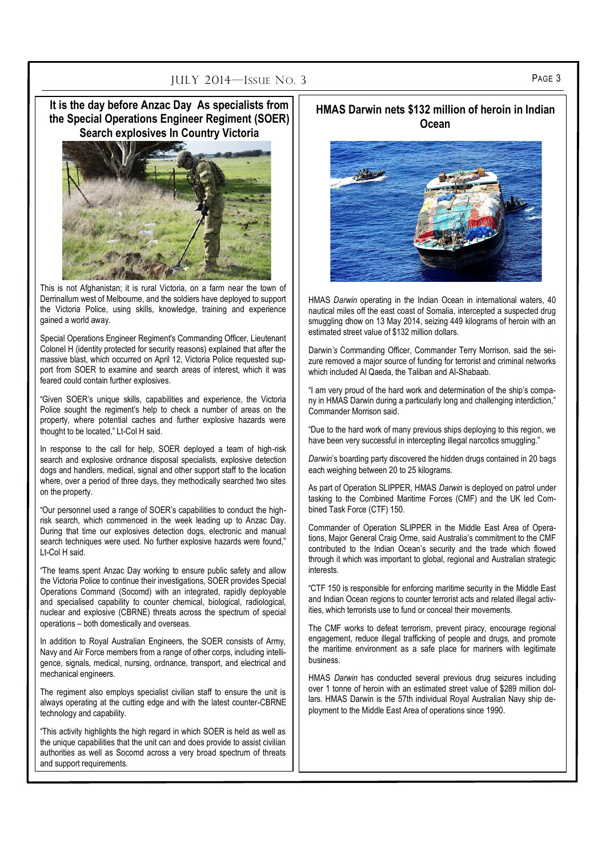# PAGE 3 PAGE 3

**It is the day before Anzac Day As specialists from the Special Operations Engineer Regiment (SOER) Search explosives In Country Victoria**



This is not Afghanistan; it is rural Victoria, on a farm near the town of Derrinallum west of Melbourne, and the soldiers have deployed to support the Victoria Police, using skills, knowledge, training and experience gained a world away.

Special Operations Engineer Regiment's Commanding Officer, Lieutenant Colonel H (identity protected for security reasons) explained that after the massive blast, which occurred on April 12, Victoria Police requested support from SOER to examine and search areas of interest, which it was feared could contain further explosives.

"Given SOER's unique skills, capabilities and experience, the Victoria Police sought the regiment's help to check a number of areas on the property, where potential caches and further explosive hazards were thought to be located," Lt-Col H said.

In response to the call for help, SOER deployed a team of high-risk search and explosive ordnance disposal specialists, explosive detection dogs and handlers, medical, signal and other support staff to the location where, over a period of three days, they methodically searched two sites on the property.

"Our personnel used a range of SOER's capabilities to conduct the highrisk search, which commenced in the week leading up to Anzac Day. During that time our explosives detection dogs, electronic and manual search techniques were used. No further explosive hazards were found," Lt-Col H said.

"The teams spent Anzac Day working to ensure public safety and allow the Victoria Police to continue their investigations, SOER provides Special Operations Command (Socomd) with an integrated, rapidly deployable and specialised capability to counter chemical, biological, radiological, nuclear and explosive (CBRNE) threats across the spectrum of special operations – both domestically and overseas.

In addition to Royal Australian Engineers, the SOER consists of Army, Navy and Air Force members from a range of other corps, including intelligence, signals, medical, nursing, ordnance, transport, and electrical and mechanical engineers.

The regiment also employs specialist civilian staff to ensure the unit is always operating at the cutting edge and with the latest counter-CBRNE technology and capability.

"This activity highlights the high regard in which SOER is held as well as the unique capabilities that the unit can and does provide to assist civilian authorities as well as Socomd across a very broad spectrum of threats and support requirements.

#### **HMAS Darwin nets \$132 million of heroin in Indian Ocean**



HMAS *Darwin* operating in the Indian Ocean in international waters, 40 nautical miles off the east coast of Somalia, intercepted a suspected drug smuggling dhow on 13 May 2014, seizing 449 kilograms of heroin with an estimated street value of \$132 million dollars.

Darwin*'s* Commanding Officer, Commander Terry Morrison, said the seizure removed a major source of funding for terrorist and criminal networks which included Al Qaeda, the Taliban and Al-Shabaab.

"I am very proud of the hard work and determination of the ship's company in HMAS Darwin during a particularly long and challenging interdiction," Commander Morrison said.

"Due to the hard work of many previous ships deploying to this region, we have been very successful in intercepting illegal narcotics smuggling."

*Darwin*'s boarding party discovered the hidden drugs contained in 20 bags each weighing between 20 to 25 kilograms.

As part of Operation SLIPPER, HMAS *Darwin* is deployed on patrol under tasking to the Combined Maritime Forces (CMF) and the UK led Combined Task Force (CTF) 150.

Commander of Operation SLIPPER in the Middle East Area of Operations, Major General Craig Orme, said Australia's commitment to the CMF contributed to the Indian Ocean's security and the trade which flowed through it which was important to global, regional and Australian strategic **interests** 

"CTF 150 is responsible for enforcing maritime security in the Middle East and Indian Ocean regions to counter terrorist acts and related illegal activities, which terrorists use to fund or conceal their movements.

The CMF works to defeat terrorism, prevent piracy, encourage regional engagement, reduce illegal trafficking of people and drugs, and promote the maritime environment as a safe place for mariners with legitimate business.

HMAS *Darwin* has conducted several previous drug seizures including over 1 tonne of heroin with an estimated street value of \$289 million dollars. HMAS Darwin is the 57th individual Royal Australian Navy ship deployment to the Middle East Area of operations since 1990.